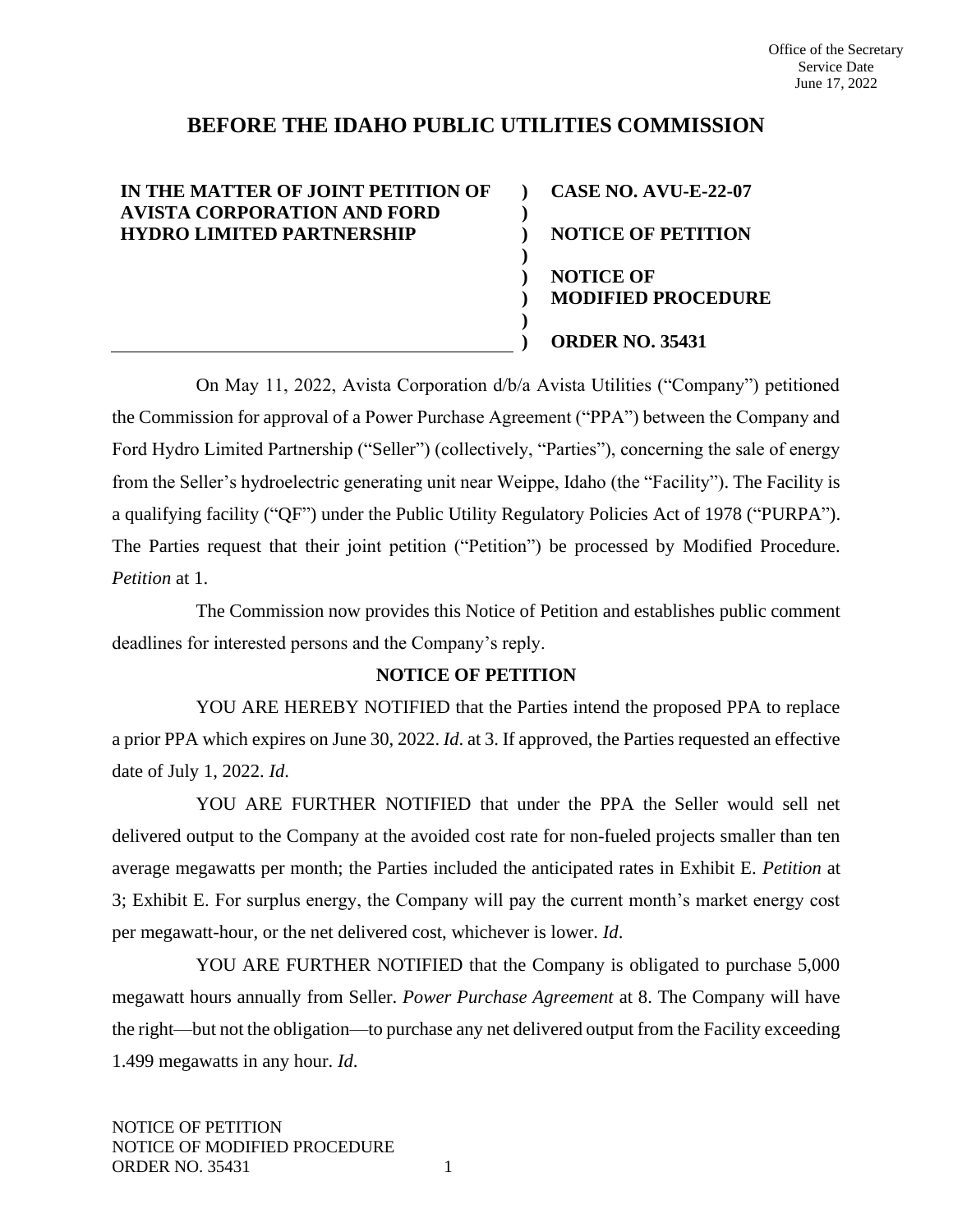# **BEFORE THE IDAHO PUBLIC UTILITIES COMMISSION**

**) ) ) ) ) ) ) )**

## **IN THE MATTER OF JOINT PETITION OF AVISTA CORPORATION AND FORD HYDRO LIMITED PARTNERSHIP**

**CASE NO. AVU-E-22-07 NOTICE OF PETITION NOTICE OF MODIFIED PROCEDURE ORDER NO. 35431**

On May 11, 2022, Avista Corporation d/b/a Avista Utilities ("Company") petitioned the Commission for approval of a Power Purchase Agreement ("PPA") between the Company and Ford Hydro Limited Partnership ("Seller") (collectively, "Parties"), concerning the sale of energy from the Seller's hydroelectric generating unit near Weippe, Idaho (the "Facility"). The Facility is a qualifying facility ("QF") under the Public Utility Regulatory Policies Act of 1978 ("PURPA"). The Parties request that their joint petition ("Petition") be processed by Modified Procedure. *Petition* at 1.

The Commission now provides this Notice of Petition and establishes public comment deadlines for interested persons and the Company's reply.

#### **NOTICE OF PETITION**

YOU ARE HEREBY NOTIFIED that the Parties intend the proposed PPA to replace a prior PPA which expires on June 30, 2022. *Id*. at 3. If approved, the Parties requested an effective date of July 1, 2022. *Id*.

YOU ARE FURTHER NOTIFIED that under the PPA the Seller would sell net delivered output to the Company at the avoided cost rate for non-fueled projects smaller than ten average megawatts per month; the Parties included the anticipated rates in Exhibit E. *Petition* at 3; Exhibit E. For surplus energy, the Company will pay the current month's market energy cost per megawatt-hour, or the net delivered cost, whichever is lower. *Id*.

YOU ARE FURTHER NOTIFIED that the Company is obligated to purchase 5,000 megawatt hours annually from Seller. *Power Purchase Agreement* at 8. The Company will have the right—but not the obligation—to purchase any net delivered output from the Facility exceeding 1.499 megawatts in any hour. *Id*.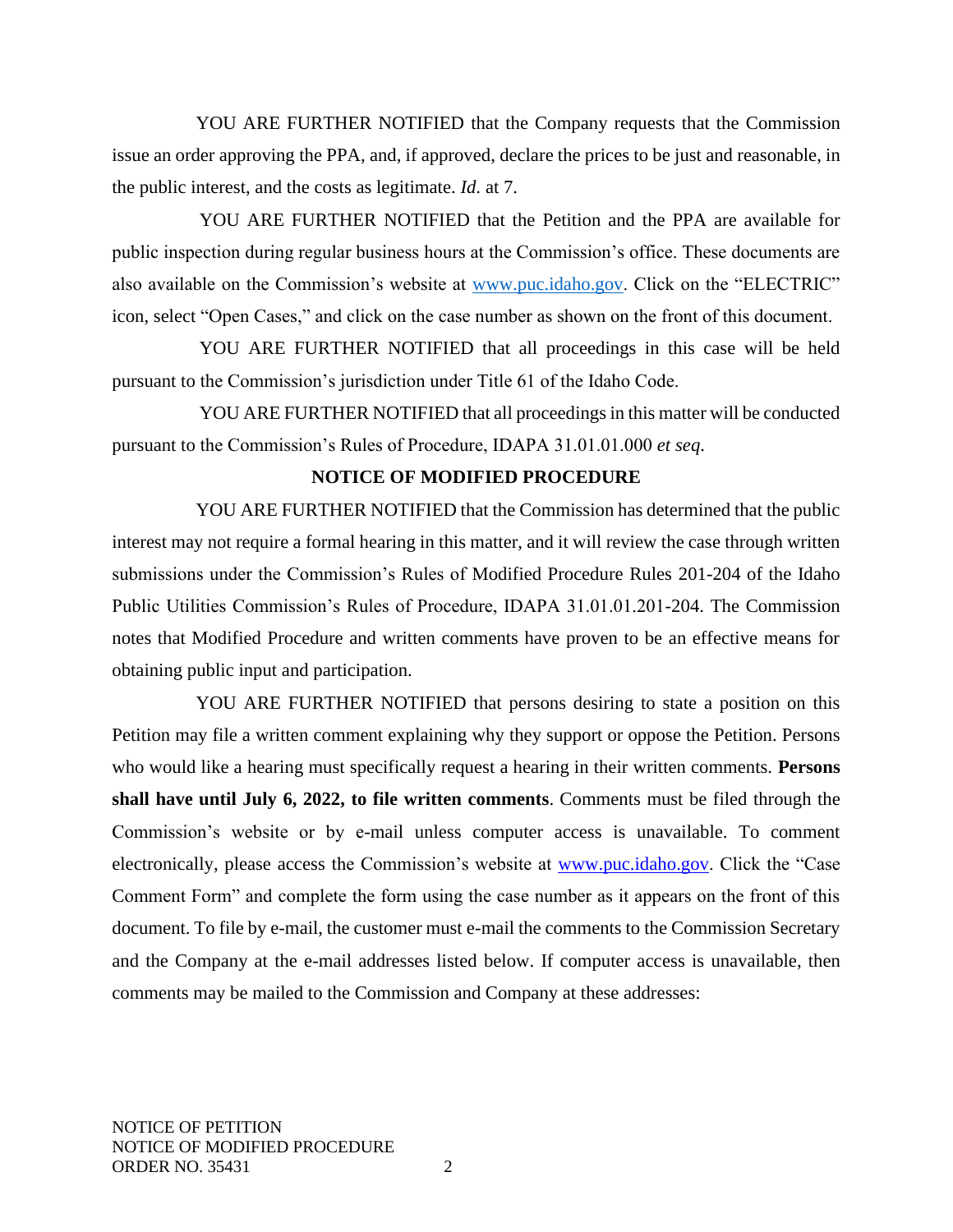YOU ARE FURTHER NOTIFIED that the Company requests that the Commission issue an order approving the PPA, and, if approved, declare the prices to be just and reasonable, in the public interest, and the costs as legitimate. *Id*. at 7.

YOU ARE FURTHER NOTIFIED that the Petition and the PPA are available for public inspection during regular business hours at the Commission's office. These documents are also available on the Commission's website at [www.puc.idaho.gov.](http://www.puc.idaho.gov/) Click on the "ELECTRIC" icon, select "Open Cases," and click on the case number as shown on the front of this document.

YOU ARE FURTHER NOTIFIED that all proceedings in this case will be held pursuant to the Commission's jurisdiction under Title 61 of the Idaho Code.

YOU ARE FURTHER NOTIFIED that all proceedings in this matter will be conducted pursuant to the Commission's Rules of Procedure, IDAPA 31.01.01.000 *et seq*.

## **NOTICE OF MODIFIED PROCEDURE**

YOU ARE FURTHER NOTIFIED that the Commission has determined that the public interest may not require a formal hearing in this matter, and it will review the case through written submissions under the Commission's Rules of Modified Procedure Rules 201-204 of the Idaho Public Utilities Commission's Rules of Procedure, IDAPA 31.01.01.201-204. The Commission notes that Modified Procedure and written comments have proven to be an effective means for obtaining public input and participation.

YOU ARE FURTHER NOTIFIED that persons desiring to state a position on this Petition may file a written comment explaining why they support or oppose the Petition. Persons who would like a hearing must specifically request a hearing in their written comments. **Persons shall have until July 6, 2022, to file written comments**. Comments must be filed through the Commission's website or by e-mail unless computer access is unavailable. To comment electronically, please access the Commission's website at [www.puc.idaho.gov.](http://www.puc.idaho.gov/) Click the "Case Comment Form" and complete the form using the case number as it appears on the front of this document. To file by e-mail, the customer must e-mail the comments to the Commission Secretary and the Company at the e-mail addresses listed below. If computer access is unavailable, then comments may be mailed to the Commission and Company at these addresses: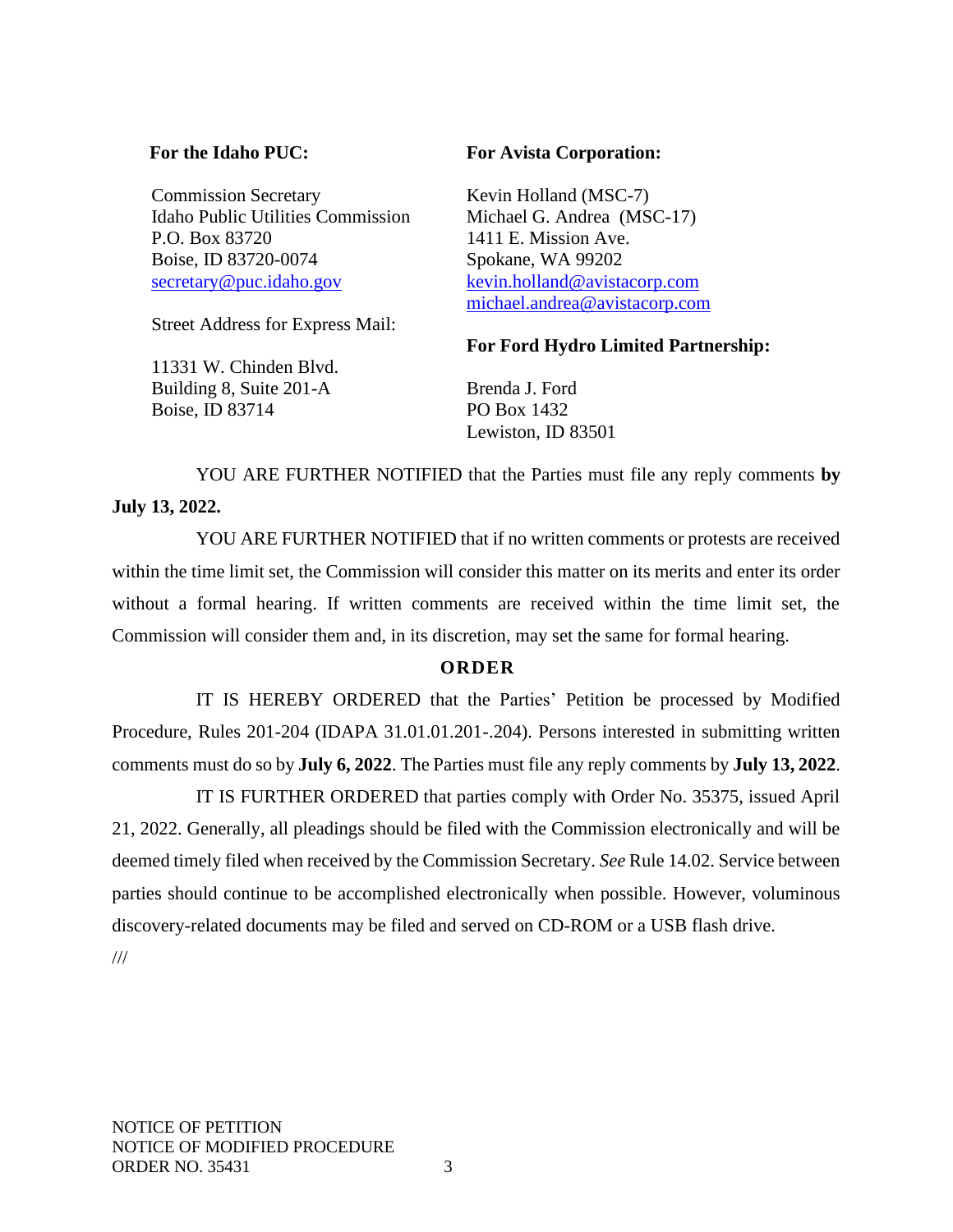#### **For the Idaho PUC:**

Commission Secretary Idaho Public Utilities Commission P.O. Box 83720 Boise, ID 83720-0074 [secretary@puc.idaho.gov](mailto:secretary@puc.idaho.gov)

Street Address for Express Mail:

11331 W. Chinden Blvd. Building 8, Suite 201-A Boise, ID 83714

#### **For Avista Corporation:**

Kevin Holland (MSC-7) Michael G. Andrea (MSC-17) 1411 E. Mission Ave. Spokane, WA 99202 [kevin.holland@avistacorp.com](mailto:kevin.holland@avistacorp.com) [michael.andrea@avistacorp.com](mailto:michael.andrea@avistacorp.com)

#### **For Ford Hydro Limited Partnership:**

Brenda J. Ford PO Box 1432 Lewiston, ID 83501

YOU ARE FURTHER NOTIFIED that the Parties must file any reply comments **by July 13, 2022.**

YOU ARE FURTHER NOTIFIED that if no written comments or protests are received within the time limit set, the Commission will consider this matter on its merits and enter its order without a formal hearing. If written comments are received within the time limit set, the Commission will consider them and, in its discretion, may set the same for formal hearing.

# **O R D E R**

IT IS HEREBY ORDERED that the Parties' Petition be processed by Modified Procedure, Rules 201-204 (IDAPA 31.01.01.201-.204). Persons interested in submitting written comments must do so by **July 6, 2022**. The Parties must file any reply comments by **July 13, 2022**.

IT IS FURTHER ORDERED that parties comply with Order No. 35375, issued April 21, 2022. Generally, all pleadings should be filed with the Commission electronically and will be deemed timely filed when received by the Commission Secretary. *See* Rule 14.02. Service between parties should continue to be accomplished electronically when possible. However, voluminous discovery-related documents may be filed and served on CD-ROM or a USB flash drive.

///